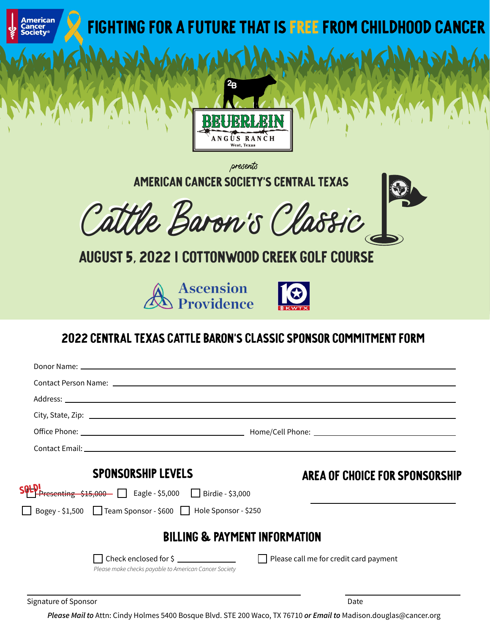

Signature of Sponsor Date and Superior Control of Sponsor Date and Superior Control of Sponsor Date and Superior Control of Sponsor Date and Superior Control of Sponsor Date and Superior Control of Sponsor Date and Superio

*Please Mail to* Attn: Cindy Holmes 5400 Bosque Blvd. STE 200 Waco, TX 76710 *or Email to* Madison.douglas@cancer.org